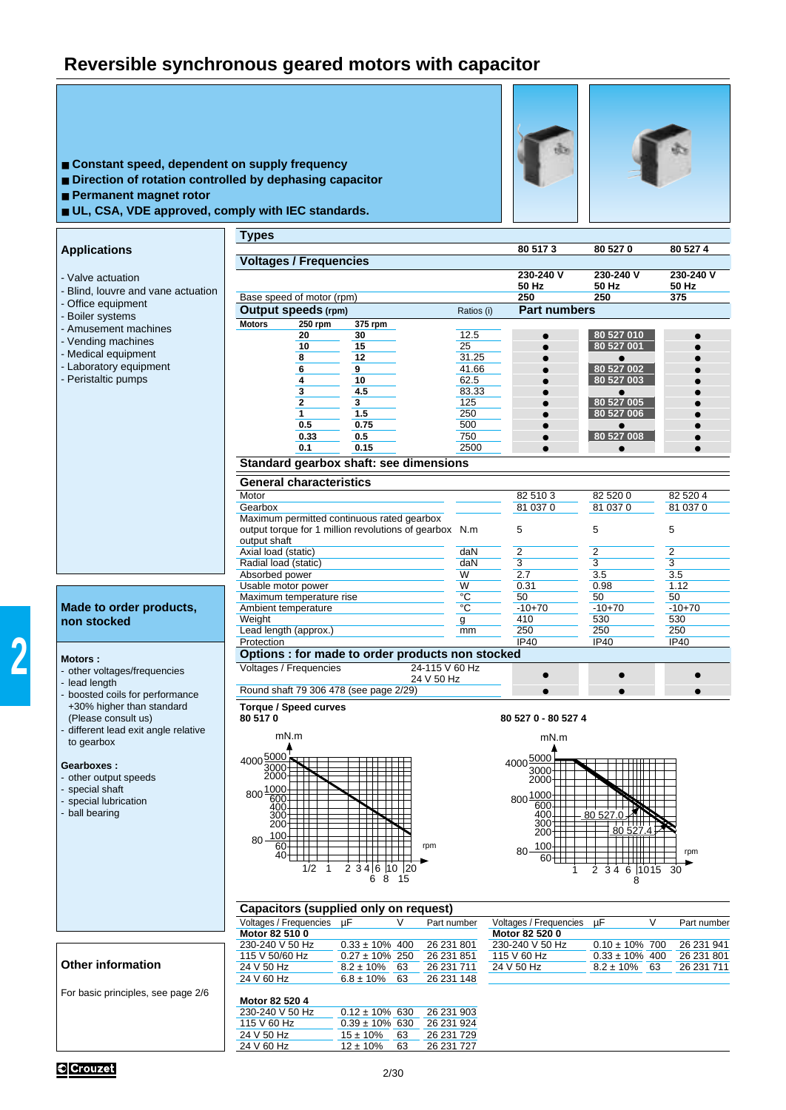## **Reversible synchronous geared motors with capacitor**

| ■ Constant speed, dependent on supply frequency<br>Direction of rotation controlled by dephasing capacitor<br>Permanent magnet rotor<br>UL, CSA, VDE approved, comply with IEC standards. |                                                                                                                      |                     |                                          |                          |                    |
|-------------------------------------------------------------------------------------------------------------------------------------------------------------------------------------------|----------------------------------------------------------------------------------------------------------------------|---------------------|------------------------------------------|--------------------------|--------------------|
|                                                                                                                                                                                           | <b>Types</b>                                                                                                         |                     | 80 517 3                                 | 80 527 0                 | 80 527 4           |
| <b>Applications</b>                                                                                                                                                                       | <b>Voltages / Frequencies</b>                                                                                        |                     |                                          |                          |                    |
| - Valve actuation                                                                                                                                                                         |                                                                                                                      |                     | 230-240 V<br>50 Hz                       | 230-240 V<br>50 Hz       | 230-240 V<br>50 Hz |
| - Blind, louvre and vane actuation                                                                                                                                                        | Base speed of motor (rpm)                                                                                            |                     | 250                                      | 250                      | 375                |
| - Office equipment<br>- Boiler systems                                                                                                                                                    | <b>Output speeds (rpm)</b>                                                                                           | Ratios (i)          | <b>Part numbers</b>                      |                          |                    |
| - Amusement machines                                                                                                                                                                      | <b>Motors</b><br>250 rpm<br>375 rpm                                                                                  |                     |                                          |                          |                    |
| - Vending machines                                                                                                                                                                        | 20<br>30<br>10<br>15                                                                                                 | 12.5<br>25          |                                          | 80 527 010<br>80 527 001 |                    |
| - Medical equipment                                                                                                                                                                       | 8<br>12                                                                                                              | 31.25               |                                          |                          |                    |
| - Laboratory equipment                                                                                                                                                                    | 6<br>9                                                                                                               | 41.66               |                                          | 80 527 002<br>80 527 003 |                    |
| - Peristaltic pumps                                                                                                                                                                       | 4<br>10<br>3<br>4.5                                                                                                  | 62.5<br>83.33       |                                          |                          |                    |
|                                                                                                                                                                                           | $\mathbf{2}$<br>3                                                                                                    | 125                 |                                          | 80 527 005               |                    |
|                                                                                                                                                                                           | $\mathbf{1}$<br>1.5                                                                                                  | 250                 |                                          | 80 527 006               |                    |
|                                                                                                                                                                                           | 0.5<br>0.75<br>0.33<br>0.5                                                                                           | 500<br>750          |                                          | ●<br>80 527 008          |                    |
|                                                                                                                                                                                           | 0.15<br>0.1                                                                                                          | 2500                |                                          |                          |                    |
|                                                                                                                                                                                           | Standard gearbox shaft: see dimensions                                                                               |                     |                                          |                          |                    |
|                                                                                                                                                                                           | <b>General characteristics</b>                                                                                       |                     |                                          |                          |                    |
|                                                                                                                                                                                           | Motor                                                                                                                |                     | 82 510 3                                 | 82 520 0                 | 82 520 4           |
|                                                                                                                                                                                           | Gearbox                                                                                                              |                     | 81 037 0                                 | 81 037 0                 | 81 037 0           |
|                                                                                                                                                                                           | Maximum permitted continuous rated gearbox<br>output torque for 1 million revolutions of gearbox N.m<br>output shaft |                     | 5                                        | 5                        | 5                  |
|                                                                                                                                                                                           | Axial load (static)                                                                                                  | daN                 | $\overline{2}$                           | $\overline{2}$           | $\overline{2}$     |
|                                                                                                                                                                                           | Radial load (static)                                                                                                 | daN                 | 3                                        | 3                        | 3                  |
|                                                                                                                                                                                           | Absorbed power<br>Usable motor power                                                                                 | W<br>W              | 2.7<br>0.31                              | 3.5<br>0.98              | 3.5<br>1.12        |
|                                                                                                                                                                                           | Maximum temperature rise                                                                                             | °C                  | 50                                       | 50                       | 50                 |
| Made to order products,                                                                                                                                                                   | Ambient temperature                                                                                                  | $\circ$ C           | $-10+70$                                 | $-10+70$                 | $-10+70$           |
| non stocked                                                                                                                                                                               | Weight<br>Lead length (approx.)                                                                                      | $\mathsf{g}$<br>mm  | 410<br>250                               | 530<br>250               | 530<br>250         |
|                                                                                                                                                                                           | Protection                                                                                                           |                     | <b>IP40</b>                              | <b>IP40</b>              | <b>IP40</b>        |
| <b>Motors:</b>                                                                                                                                                                            | Options : for made to order products non stocked                                                                     |                     |                                          |                          |                    |
| - other voltages/frequencies                                                                                                                                                              | Voltages / Frequencies                                                                                               | 24-115 V 60 Hz      | $\bullet$                                |                          |                    |
| - lead length                                                                                                                                                                             | 24 V 50 Hz<br>Round shaft 79 306 478 (see page 2/29)                                                                 |                     |                                          |                          | $\bullet$          |
| boosted coils for performance<br>+30% higher than standard                                                                                                                                | Torque / Speed curves                                                                                                |                     |                                          |                          |                    |
| (Please consult us)                                                                                                                                                                       | 80 517 0                                                                                                             | 80 527 0 - 80 527 4 |                                          |                          |                    |
| different lead exit angle relative<br>to gearbox                                                                                                                                          | mN.m                                                                                                                 |                     | mN.m                                     |                          |                    |
| Gearboxes:                                                                                                                                                                                | 4000 5000<br>3000                                                                                                    |                     | 4000 5000<br>3000                        |                          |                    |
| other output speeds                                                                                                                                                                       |                                                                                                                      |                     | 2000                                     |                          |                    |
| special shaft<br>special lubrication                                                                                                                                                      | 800 1000                                                                                                             |                     | 800 1000                                 |                          |                    |
| - ball bearing                                                                                                                                                                            | $\frac{600}{400}$<br>$\frac{400}{300}$                                                                               |                     | 600<br>400                               | 80 527.0                 |                    |
|                                                                                                                                                                                           |                                                                                                                      |                     | 300<br>200                               | 80 527.4                 |                    |
|                                                                                                                                                                                           | 80 100<br>60<br>rpm                                                                                                  |                     | 100                                      |                          |                    |
|                                                                                                                                                                                           | $40+$                                                                                                                |                     | $80 -$<br>$60+$                          |                          | rpm                |
|                                                                                                                                                                                           | 1/2<br>234 6<br> 10 20<br>-1<br>6 8 15                                                                               |                     |                                          | 2 3 4<br>6 1015 30<br>8  |                    |
|                                                                                                                                                                                           | Capacitors (supplied only on request)                                                                                |                     |                                          |                          |                    |
|                                                                                                                                                                                           | Voltages / Frequencies µF<br>V<br>Motor 82 510 0                                                                     | Part number         | Voltages / Frequencies<br>Motor 82 520 0 | V<br>μF                  | Part number        |
|                                                                                                                                                                                           | $0.33 \pm 10\%$ 400<br>230-240 V 50 Hz                                                                               | 26 231 801          | 230-240 V 50 Hz                          | $0.10 \pm 10\%$ 700      | 26 231 941         |
|                                                                                                                                                                                           | 115 V 50/60 Hz<br>$0.27 \pm 10\%$ 250                                                                                | 26 231 851          | 115 V 60 Hz                              | $0.33 \pm 10\%$ 400      | 26 231 801         |
| Other information                                                                                                                                                                         | 24 V 50 Hz<br>$8.2 \pm 10\%$ 63                                                                                      | 26 231 711          | 24 V 50 Hz                               | $8.2 \pm 10\%$ 63        | 26 231 711         |
|                                                                                                                                                                                           | 24 V 60 Hz<br>$6.8 \pm 10\%$<br>63                                                                                   | 26 231 148          |                                          |                          |                    |
| For basic principles, see page 2/6                                                                                                                                                        | Motor 82 520 4                                                                                                       |                     |                                          |                          |                    |
|                                                                                                                                                                                           | $0.12 \pm 10\%$ 630<br>230-240 V 50 Hz                                                                               | 26 231 903          |                                          |                          |                    |

**2**

115 V 60 Hz 0.39 ± 10% 630 26 231 924 24 V 50 Hz 15 ± 10% 63 26 231 729 24 V 60 Hz 12 ± 10% 63 26 231 727